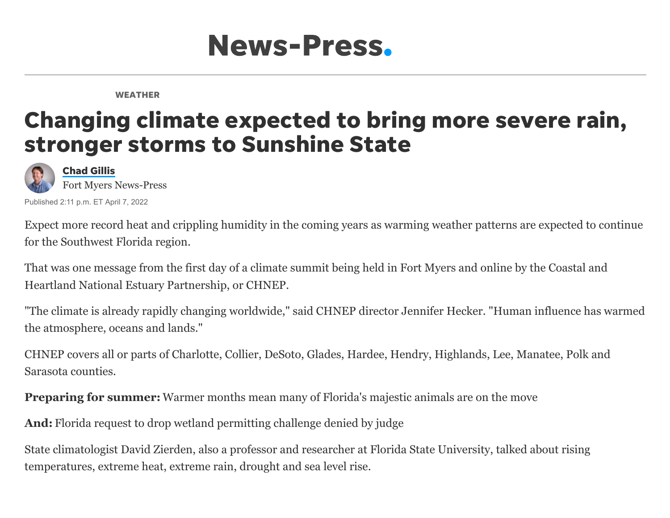

WEATHER

## Changing climate expected to bring more severe rain, stronger storms to Sunshine State



Published 2:11 p.m. ET April 7, 2022 Fort Myers News-Press

[Chad](https://www.news-press.com/staff/2648135001/chad-gillis/) Gillis

Expect more record heat and crippling humidity in the coming years as warming weather patterns are expected to continue for the Southwest Florida region.

[That was one message from the first day of a climate summit being held in Fort Myers and online by the Coastal and](https://www.chnep.org/) Heartland National Estuary Partnership, or CHNEP.

"The climate is already rapidly changing worldwide," said CHNEP director Jennifer Hecker. "Human influence has warmed the atmosphere, oceans and lands."

CHNEP covers all or parts of Charlotte, Collier, DeSoto, Glades, Hardee, Hendry, Highlands, Lee, Manatee, Polk and Sarasota counties.

**Preparing for summer:** [Warmer months mean many of Florida's majestic animals are on the move](https://www.news-press.com/story/news/local/environment/2022/04/05/warm-spring-weather-means-animals-wildlife-move-southwest-florida/7272500001/)

**And:** [Florida request to drop wetland permitting challenge denied by judge](https://www.news-press.com/story/tech/science/environment/2022/04/01/wetland-destruction-permitting-denied-judge-florida-earthjustice-environment/7231623001/)

[State climatologist David Zierden,](https://www.coaps.fsu.edu/david-zierden) also a professor and researcher at Florida State University, talked about rising temperatures, extreme heat, extreme rain, drought and sea level rise.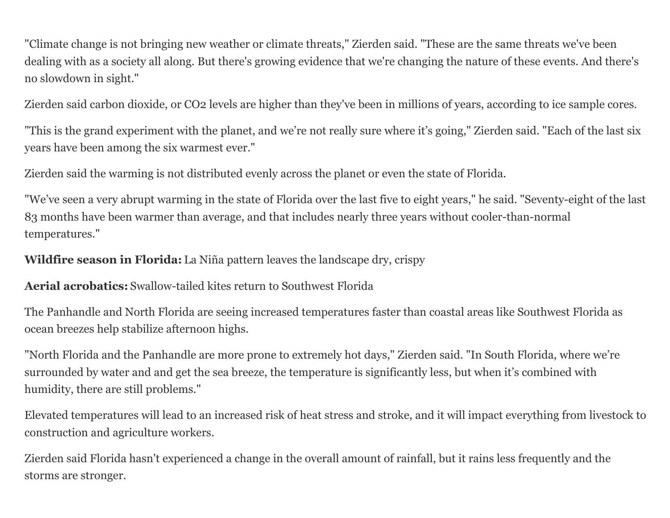"Climate change is not bringing new weather or climate threats," Zierden said. "These are the same threats we've been dealing with as a society all along. But there's growing evidence that we're changing the nature of these events. And there's no slowdown in sight."

Zierden said carbon dioxide, or CO2 levels are higher than they've been in millions of years, according to ice sample cores.

"This is the grand experiment with the planet, and we're not really sure where it's going," Zierden said. "Each of the last six years have been among the six warmest ever."

Zierden said the warming is not distributed evenly across the planet or even the state of Florida.

"We've seen a very abrupt warming in the state of Florida over the last five to eight years," he said. "Seventy-eight of the last 83 months have been warmer than average, and that includes nearly three years without cooler-than-normal temperatures."

**Wildfire season in Florida:** [La Niña pattern leaves the landscape dry, crispy](https://www.news-press.com/story/tech/science/environment/2022/03/30/southwest-florida-wildfire-risk-increases-drought-conditions-flare-la-nina/7192584001/)

**Aerial acrobatics:** [Swallow-tailed kites return to Southwest Florida](https://www.news-press.com/story/tech/science/environment/2022/03/23/majestic-swallow-tailed-kites-back-southwest-florida-breeding-season/7125140001/)

The Panhandle and North Florida are seeing increased temperatures faster than coastal areas like Southwest Florida as ocean breezes help stabilize afternoon highs.

"North Florida and the Panhandle are more prone to extremely hot days," Zierden said. "In South Florida, where we're surrounded by water and and get the sea breeze, the temperature is significantly less, but when it's combined with humidity, there are still problems."

Elevated temperatures will lead to an increased risk of heat stress and stroke, and it will impact everything from livestock to construction and agriculture workers.

Zierden said Florida hasn't experienced a change in the overall amount of rainfall, but it rains less frequently and the storms are stronger.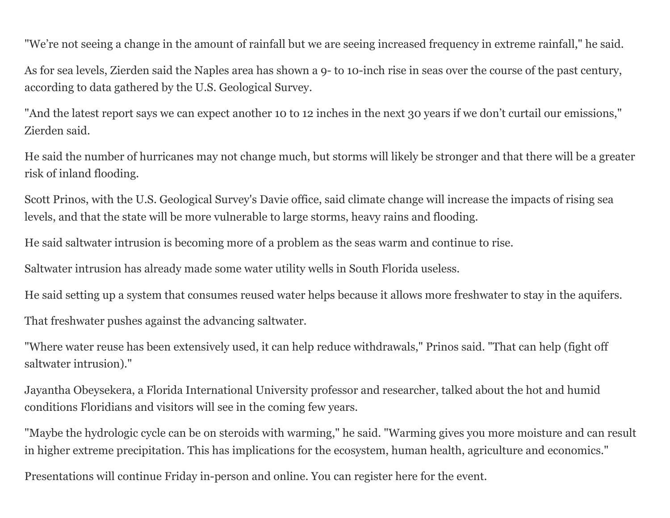"We're not seeing a change in the amount of rainfall but we are seeing increased frequency in extreme rainfall," he said.

As for sea levels, Zierden said the Naples area has shown a 9- to 10-inch rise in seas over the course of the past century, according to data gathered by the U.S. Geological Survey.

"And the latest report says we can expect another 10 to 12 inches in the next 30 years if we don't curtail our emissions," Zierden said.

He said the number of hurricanes may not change much, but storms will likely be stronger and that there will be a greater risk of inland flooding.

Scott Prinos, with the U.S. Geological Survey's Davie office, said climate change will increase the impacts of rising sea levels, and that the state will be more vulnerable to large storms, heavy rains and flooding.

He said saltwater intrusion is becoming more of a problem as the seas warm and continue to rise.

Saltwater intrusion has already made some water utility wells in South Florida useless.

He said setting up a system that consumes reused water helps because it allows more freshwater to stay in the aquifers.

That freshwater pushes against the advancing saltwater.

"Where water reuse has been extensively used, it can help reduce withdrawals," Prinos said. "That can help (fight off saltwater intrusion)."

Jayantha Obeysekera, a Florida International University professor and researcher, talked about the hot and humid conditions Floridians and visitors will see in the coming few years.

"Maybe the hydrologic cycle can be on steroids with warming," he said. "Warming gives you more moisture and can result in higher extreme precipitation. This has implications for the ecosystem, human health, agriculture and economics."

Presentations will continue Friday in-person and online. You can register [here](https://www.chnep.org/2022-climate-summit) for the event.